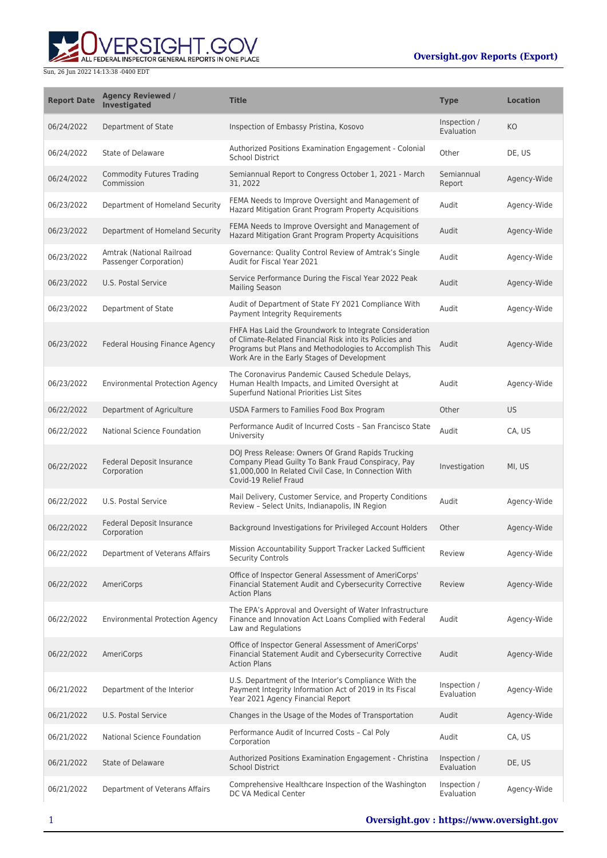ERSIGHT.GOV ALL FEDERAL INSPECTOR GENERAL REPORTS IN ONE PLACE

| <b>Report Date</b> | <b>Agency Reviewed /</b><br><b>Investigated</b>     | <b>Title</b>                                                                                                                                                                                                                 | <b>Type</b>                | <b>Location</b> |
|--------------------|-----------------------------------------------------|------------------------------------------------------------------------------------------------------------------------------------------------------------------------------------------------------------------------------|----------------------------|-----------------|
| 06/24/2022         | Department of State                                 | Inspection of Embassy Pristina, Kosovo                                                                                                                                                                                       | Inspection /<br>Evaluation | KO              |
| 06/24/2022         | State of Delaware                                   | Authorized Positions Examination Engagement - Colonial<br><b>School District</b>                                                                                                                                             | Other                      | DE, US          |
| 06/24/2022         | <b>Commodity Futures Trading</b><br>Commission      | Semiannual Report to Congress October 1, 2021 - March<br>31, 2022                                                                                                                                                            | Semiannual<br>Report       | Agency-Wide     |
| 06/23/2022         | Department of Homeland Security                     | FEMA Needs to Improve Oversight and Management of<br>Hazard Mitigation Grant Program Property Acquisitions                                                                                                                   | Audit                      | Agency-Wide     |
| 06/23/2022         | Department of Homeland Security                     | FEMA Needs to Improve Oversight and Management of<br>Hazard Mitigation Grant Program Property Acquisitions                                                                                                                   | Audit                      | Agency-Wide     |
| 06/23/2022         | Amtrak (National Railroad<br>Passenger Corporation) | Governance: Quality Control Review of Amtrak's Single<br>Audit for Fiscal Year 2021                                                                                                                                          | Audit                      | Agency-Wide     |
| 06/23/2022         | U.S. Postal Service                                 | Service Performance During the Fiscal Year 2022 Peak<br><b>Mailing Season</b>                                                                                                                                                | Audit                      | Agency-Wide     |
| 06/23/2022         | Department of State                                 | Audit of Department of State FY 2021 Compliance With<br>Payment Integrity Requirements                                                                                                                                       | Audit                      | Agency-Wide     |
| 06/23/2022         | <b>Federal Housing Finance Agency</b>               | FHFA Has Laid the Groundwork to Integrate Consideration<br>of Climate-Related Financial Risk into its Policies and<br>Programs but Plans and Methodologies to Accomplish This<br>Work Are in the Early Stages of Development | Audit                      | Agency-Wide     |
| 06/23/2022         | <b>Environmental Protection Agency</b>              | The Coronavirus Pandemic Caused Schedule Delays,<br>Human Health Impacts, and Limited Oversight at<br>Superfund National Priorities List Sites                                                                               | Audit                      | Agency-Wide     |
| 06/22/2022         | Department of Agriculture                           | USDA Farmers to Families Food Box Program                                                                                                                                                                                    | Other                      | US              |
| 06/22/2022         | National Science Foundation                         | Performance Audit of Incurred Costs - San Francisco State<br>University                                                                                                                                                      | Audit                      | CA, US          |
| 06/22/2022         | Federal Deposit Insurance<br>Corporation            | DOJ Press Release: Owners Of Grand Rapids Trucking<br>Company Plead Guilty To Bank Fraud Conspiracy, Pay<br>\$1,000,000 In Related Civil Case, In Connection With<br>Covid-19 Relief Fraud                                   | Investigation              | MI, US          |
| 06/22/2022         | U.S. Postal Service                                 | Mail Delivery, Customer Service, and Property Conditions<br>Review - Select Units, Indianapolis, IN Region                                                                                                                   | Audit                      | Agency-Wide     |
| 06/22/2022         | Federal Deposit Insurance<br>Corporation            | Background Investigations for Privileged Account Holders                                                                                                                                                                     | Other                      | Agency-Wide     |
| 06/22/2022         | Department of Veterans Affairs                      | Mission Accountability Support Tracker Lacked Sufficient<br><b>Security Controls</b>                                                                                                                                         | Review                     | Agency-Wide     |
| 06/22/2022         | AmeriCorps                                          | Office of Inspector General Assessment of AmeriCorps'<br>Financial Statement Audit and Cybersecurity Corrective<br><b>Action Plans</b>                                                                                       | Review                     | Agency-Wide     |
| 06/22/2022         | <b>Environmental Protection Agency</b>              | The EPA's Approval and Oversight of Water Infrastructure<br>Finance and Innovation Act Loans Complied with Federal<br>Law and Regulations                                                                                    | Audit                      | Agency-Wide     |
| 06/22/2022         | AmeriCorps                                          | Office of Inspector General Assessment of AmeriCorps'<br>Financial Statement Audit and Cybersecurity Corrective<br><b>Action Plans</b>                                                                                       | Audit                      | Agency-Wide     |
| 06/21/2022         | Department of the Interior                          | U.S. Department of the Interior's Compliance With the<br>Payment Integrity Information Act of 2019 in Its Fiscal<br>Year 2021 Agency Financial Report                                                                        | Inspection /<br>Evaluation | Agency-Wide     |
| 06/21/2022         | U.S. Postal Service                                 | Changes in the Usage of the Modes of Transportation                                                                                                                                                                          | Audit                      | Agency-Wide     |
| 06/21/2022         | National Science Foundation                         | Performance Audit of Incurred Costs - Cal Poly<br>Corporation                                                                                                                                                                | Audit                      | CA, US          |
| 06/21/2022         | State of Delaware                                   | Authorized Positions Examination Engagement - Christina<br><b>School District</b>                                                                                                                                            | Inspection /<br>Evaluation | DE, US          |
| 06/21/2022         | Department of Veterans Affairs                      | Comprehensive Healthcare Inspection of the Washington<br>DC VA Medical Center                                                                                                                                                | Inspection /<br>Evaluation | Agency-Wide     |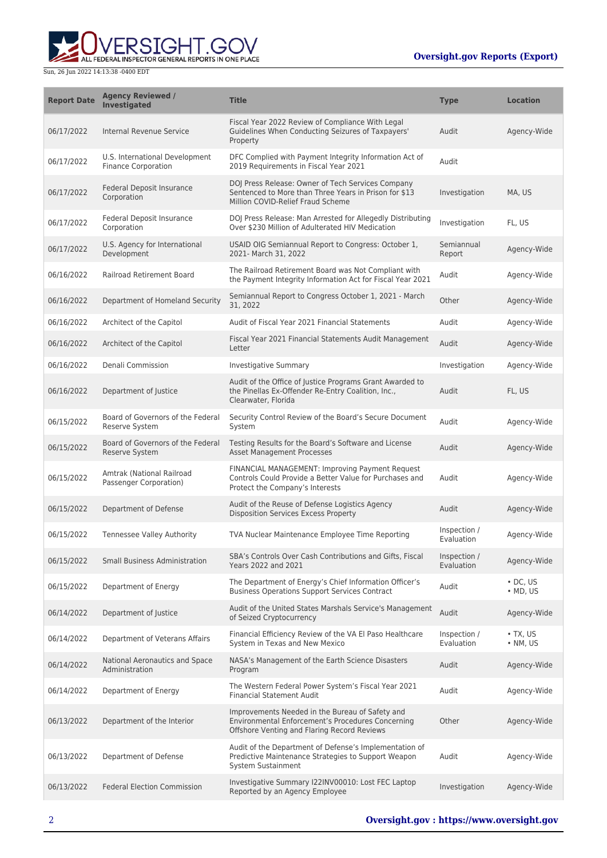

| <b>Report Date</b> | <b>Agency Reviewed /</b><br><b>Investigated</b>              | <b>Title</b>                                                                                                                                        | <b>Type</b>                | <b>Location</b>                    |
|--------------------|--------------------------------------------------------------|-----------------------------------------------------------------------------------------------------------------------------------------------------|----------------------------|------------------------------------|
| 06/17/2022         | Internal Revenue Service                                     | Fiscal Year 2022 Review of Compliance With Legal<br>Guidelines When Conducting Seizures of Taxpayers'<br>Property                                   | Audit                      | Agency-Wide                        |
| 06/17/2022         | U.S. International Development<br><b>Finance Corporation</b> | DFC Complied with Payment Integrity Information Act of<br>2019 Requirements in Fiscal Year 2021                                                     | Audit                      |                                    |
| 06/17/2022         | Federal Deposit Insurance<br>Corporation                     | DOJ Press Release: Owner of Tech Services Company<br>Sentenced to More than Three Years in Prison for \$13<br>Million COVID-Relief Fraud Scheme     | Investigation              | MA, US                             |
| 06/17/2022         | Federal Deposit Insurance<br>Corporation                     | DOJ Press Release: Man Arrested for Allegedly Distributing<br>Over \$230 Million of Adulterated HIV Medication                                      | Investigation              | FL, US                             |
| 06/17/2022         | U.S. Agency for International<br>Development                 | USAID OIG Semiannual Report to Congress: October 1,<br>2021- March 31, 2022                                                                         | Semiannual<br>Report       | Agency-Wide                        |
| 06/16/2022         | <b>Railroad Retirement Board</b>                             | The Railroad Retirement Board was Not Compliant with<br>the Payment Integrity Information Act for Fiscal Year 2021                                  | Audit                      | Agency-Wide                        |
| 06/16/2022         | Department of Homeland Security                              | Semiannual Report to Congress October 1, 2021 - March<br>31, 2022                                                                                   | Other                      | Agency-Wide                        |
| 06/16/2022         | Architect of the Capitol                                     | Audit of Fiscal Year 2021 Financial Statements                                                                                                      | Audit                      | Agency-Wide                        |
| 06/16/2022         | Architect of the Capitol                                     | Fiscal Year 2021 Financial Statements Audit Management<br>Letter                                                                                    | Audit                      | Agency-Wide                        |
| 06/16/2022         | Denali Commission                                            | <b>Investigative Summary</b>                                                                                                                        | Investigation              | Agency-Wide                        |
| 06/16/2022         | Department of Justice                                        | Audit of the Office of Justice Programs Grant Awarded to<br>the Pinellas Ex-Offender Re-Entry Coalition, Inc.,<br>Clearwater, Florida               | Audit                      | FL, US                             |
| 06/15/2022         | Board of Governors of the Federal<br>Reserve System          | Security Control Review of the Board's Secure Document<br>System                                                                                    | Audit                      | Agency-Wide                        |
| 06/15/2022         | Board of Governors of the Federal<br>Reserve System          | Testing Results for the Board's Software and License<br><b>Asset Management Processes</b>                                                           | Audit                      | Agency-Wide                        |
| 06/15/2022         | Amtrak (National Railroad<br>Passenger Corporation)          | FINANCIAL MANAGEMENT: Improving Payment Request<br>Controls Could Provide a Better Value for Purchases and<br>Protect the Company's Interests       | Audit                      | Agency-Wide                        |
| 06/15/2022         | Department of Defense                                        | Audit of the Reuse of Defense Logistics Agency<br><b>Disposition Services Excess Property</b>                                                       | Audit                      | Agency-Wide                        |
| 06/15/2022         | Tennessee Valley Authority                                   | TVA Nuclear Maintenance Employee Time Reporting                                                                                                     | Inspection /<br>Evaluation | Agency-Wide                        |
| 06/15/2022         | <b>Small Business Administration</b>                         | SBA's Controls Over Cash Contributions and Gifts, Fiscal<br>Years 2022 and 2021                                                                     | Inspection /<br>Evaluation | Agency-Wide                        |
| 06/15/2022         | Department of Energy                                         | The Department of Energy's Chief Information Officer's<br><b>Business Operations Support Services Contract</b>                                      | Audit                      | $\cdot$ DC, US<br>$\bullet$ MD, US |
| 06/14/2022         | Department of Justice                                        | Audit of the United States Marshals Service's Management<br>of Seized Cryptocurrency                                                                | Audit                      | Agency-Wide                        |
| 06/14/2022         | Department of Veterans Affairs                               | Financial Efficiency Review of the VA El Paso Healthcare<br>System in Texas and New Mexico                                                          | Inspection /<br>Evaluation | $\bullet$ TX, US<br>• NM, US       |
| 06/14/2022         | National Aeronautics and Space<br>Administration             | NASA's Management of the Earth Science Disasters<br>Program                                                                                         | Audit                      | Agency-Wide                        |
| 06/14/2022         | Department of Energy                                         | The Western Federal Power System's Fiscal Year 2021<br><b>Financial Statement Audit</b>                                                             | Audit                      | Agency-Wide                        |
| 06/13/2022         | Department of the Interior                                   | Improvements Needed in the Bureau of Safety and<br>Environmental Enforcement's Procedures Concerning<br>Offshore Venting and Flaring Record Reviews | Other                      | Agency-Wide                        |
| 06/13/2022         | Department of Defense                                        | Audit of the Department of Defense's Implementation of<br>Predictive Maintenance Strategies to Support Weapon<br><b>System Sustainment</b>          | Audit                      | Agency-Wide                        |
| 06/13/2022         | <b>Federal Election Commission</b>                           | Investigative Summary I22INV00010: Lost FEC Laptop<br>Reported by an Agency Employee                                                                | Investigation              | Agency-Wide                        |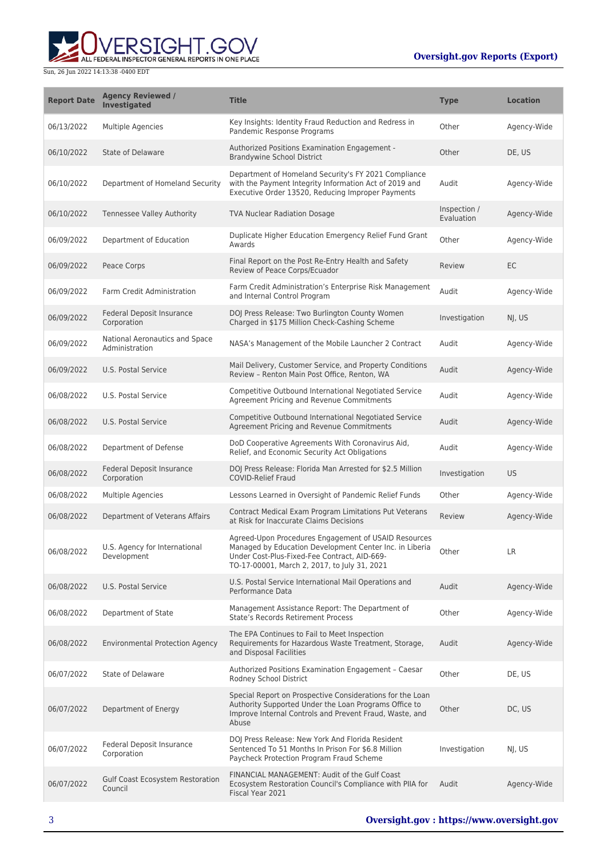ALL FEDERAL INSPECTOR GENERAL REPORTS IN ONE PLACE

| <b>Report Date</b> | <b>Agency Reviewed /</b><br><b>Investigated</b>    | <b>Title</b>                                                                                                                                                                                                    | <b>Type</b>                | <b>Location</b> |
|--------------------|----------------------------------------------------|-----------------------------------------------------------------------------------------------------------------------------------------------------------------------------------------------------------------|----------------------------|-----------------|
| 06/13/2022         | <b>Multiple Agencies</b>                           | Key Insights: Identity Fraud Reduction and Redress in<br>Pandemic Response Programs                                                                                                                             | Other                      | Agency-Wide     |
| 06/10/2022         | <b>State of Delaware</b>                           | Authorized Positions Examination Engagement -<br><b>Brandywine School District</b>                                                                                                                              | Other                      | DE, US          |
| 06/10/2022         | Department of Homeland Security                    | Department of Homeland Security's FY 2021 Compliance<br>with the Payment Integrity Information Act of 2019 and<br>Executive Order 13520, Reducing Improper Payments                                             | Audit                      | Agency-Wide     |
| 06/10/2022         | <b>Tennessee Valley Authority</b>                  | <b>TVA Nuclear Radiation Dosage</b>                                                                                                                                                                             | Inspection /<br>Evaluation | Agency-Wide     |
| 06/09/2022         | Department of Education                            | Duplicate Higher Education Emergency Relief Fund Grant<br>Awards                                                                                                                                                | Other                      | Agency-Wide     |
| 06/09/2022         | Peace Corps                                        | Final Report on the Post Re-Entry Health and Safety<br>Review of Peace Corps/Ecuador                                                                                                                            | Review                     | EC              |
| 06/09/2022         | Farm Credit Administration                         | Farm Credit Administration's Enterprise Risk Management<br>and Internal Control Program                                                                                                                         | Audit                      | Agency-Wide     |
| 06/09/2022         | Federal Deposit Insurance<br>Corporation           | DOJ Press Release: Two Burlington County Women<br>Charged in \$175 Million Check-Cashing Scheme                                                                                                                 | Investigation              | NJ, US          |
| 06/09/2022         | National Aeronautics and Space<br>Administration   | NASA's Management of the Mobile Launcher 2 Contract                                                                                                                                                             | Audit                      | Agency-Wide     |
| 06/09/2022         | U.S. Postal Service                                | Mail Delivery, Customer Service, and Property Conditions<br>Review - Renton Main Post Office, Renton, WA                                                                                                        | Audit                      | Agency-Wide     |
| 06/08/2022         | U.S. Postal Service                                | Competitive Outbound International Negotiated Service<br>Agreement Pricing and Revenue Commitments                                                                                                              | Audit                      | Agency-Wide     |
| 06/08/2022         | U.S. Postal Service                                | Competitive Outbound International Negotiated Service<br>Agreement Pricing and Revenue Commitments                                                                                                              | Audit                      | Agency-Wide     |
| 06/08/2022         | Department of Defense                              | DoD Cooperative Agreements With Coronavirus Aid,<br>Relief, and Economic Security Act Obligations                                                                                                               | Audit                      | Agency-Wide     |
| 06/08/2022         | Federal Deposit Insurance<br>Corporation           | DOJ Press Release: Florida Man Arrested for \$2.5 Million<br><b>COVID-Relief Fraud</b>                                                                                                                          | Investigation              | <b>US</b>       |
| 06/08/2022         | <b>Multiple Agencies</b>                           | Lessons Learned in Oversight of Pandemic Relief Funds                                                                                                                                                           | Other                      | Agency-Wide     |
| 06/08/2022         | Department of Veterans Affairs                     | <b>Contract Medical Exam Program Limitations Put Veterans</b><br>at Risk for Inaccurate Claims Decisions                                                                                                        | Review                     | Agency-Wide     |
| 06/08/2022         | U.S. Agency for International<br>Development       | Agreed-Upon Procedures Engagement of USAID Resources<br>Managed by Education Development Center Inc. in Liberia<br>Under Cost-Plus-Fixed-Fee Contract, AID-669-<br>TO-17-00001, March 2, 2017, to July 31, 2021 | Other                      | LR              |
| 06/08/2022         | U.S. Postal Service                                | U.S. Postal Service International Mail Operations and<br>Performance Data                                                                                                                                       | Audit                      | Agency-Wide     |
| 06/08/2022         | Department of State                                | Management Assistance Report: The Department of<br><b>State's Records Retirement Process</b>                                                                                                                    | Other                      | Agency-Wide     |
| 06/08/2022         | <b>Environmental Protection Agency</b>             | The EPA Continues to Fail to Meet Inspection<br>Requirements for Hazardous Waste Treatment, Storage,<br>and Disposal Facilities                                                                                 | Audit                      | Agency-Wide     |
| 06/07/2022         | <b>State of Delaware</b>                           | Authorized Positions Examination Engagement - Caesar<br>Rodney School District                                                                                                                                  | Other                      | DE, US          |
| 06/07/2022         | Department of Energy                               | Special Report on Prospective Considerations for the Loan<br>Authority Supported Under the Loan Programs Office to<br>Improve Internal Controls and Prevent Fraud, Waste, and<br>Abuse                          | Other                      | DC, US          |
| 06/07/2022         | Federal Deposit Insurance<br>Corporation           | DOJ Press Release: New York And Florida Resident<br>Sentenced To 51 Months In Prison For \$6.8 Million<br>Paycheck Protection Program Fraud Scheme                                                              | Investigation              | NJ, US          |
| 06/07/2022         | <b>Gulf Coast Ecosystem Restoration</b><br>Council | FINANCIAL MANAGEMENT: Audit of the Gulf Coast<br>Ecosystem Restoration Council's Compliance with PIIA for<br>Fiscal Year 2021                                                                                   | Audit                      | Agency-Wide     |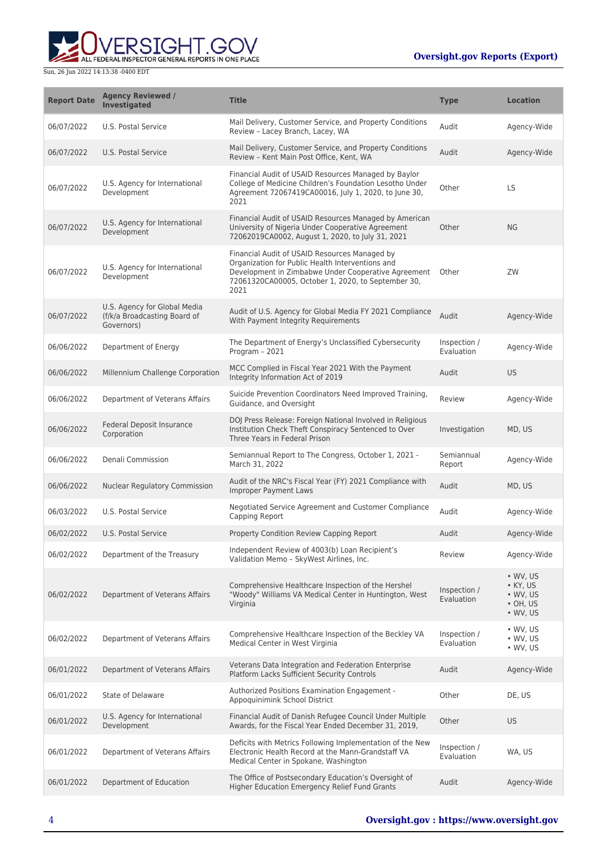

| <b>Report Date</b> | <b>Agency Reviewed /</b><br><b>Investigated</b>                            | <b>Title</b>                                                                                                                                                                                                           | <b>Type</b>                | <b>Location</b>                                                                        |
|--------------------|----------------------------------------------------------------------------|------------------------------------------------------------------------------------------------------------------------------------------------------------------------------------------------------------------------|----------------------------|----------------------------------------------------------------------------------------|
| 06/07/2022         | U.S. Postal Service                                                        | Mail Delivery, Customer Service, and Property Conditions<br>Review - Lacey Branch, Lacey, WA                                                                                                                           | Audit                      | Agency-Wide                                                                            |
| 06/07/2022         | U.S. Postal Service                                                        | Mail Delivery, Customer Service, and Property Conditions<br>Review - Kent Main Post Office, Kent, WA                                                                                                                   | Audit                      | Agency-Wide                                                                            |
| 06/07/2022         | U.S. Agency for International<br>Development                               | Financial Audit of USAID Resources Managed by Baylor<br>College of Medicine Children's Foundation Lesotho Under<br>Agreement 72067419CA00016, July 1, 2020, to June 30,<br>2021                                        | Other                      | <b>LS</b>                                                                              |
| 06/07/2022         | U.S. Agency for International<br>Development                               | Financial Audit of USAID Resources Managed by American<br>University of Nigeria Under Cooperative Agreement<br>72062019CA0002, August 1, 2020, to July 31, 2021                                                        | Other                      | <b>NG</b>                                                                              |
| 06/07/2022         | U.S. Agency for International<br>Development                               | Financial Audit of USAID Resources Managed by<br>Organization for Public Health Interventions and<br>Development in Zimbabwe Under Cooperative Agreement<br>72061320CA00005, October 1, 2020, to September 30,<br>2021 | Other                      | ZW                                                                                     |
| 06/07/2022         | U.S. Agency for Global Media<br>(f/k/a Broadcasting Board of<br>Governors) | Audit of U.S. Agency for Global Media FY 2021 Compliance<br>With Payment Integrity Requirements                                                                                                                        | Audit                      | Agency-Wide                                                                            |
| 06/06/2022         | Department of Energy                                                       | The Department of Energy's Unclassified Cybersecurity<br>Program - 2021                                                                                                                                                | Inspection /<br>Evaluation | Agency-Wide                                                                            |
| 06/06/2022         | Millennium Challenge Corporation                                           | MCC Complied in Fiscal Year 2021 With the Payment<br>Integrity Information Act of 2019                                                                                                                                 | Audit                      | US                                                                                     |
| 06/06/2022         | Department of Veterans Affairs                                             | Suicide Prevention Coordinators Need Improved Training,<br>Guidance, and Oversight                                                                                                                                     | Review                     | Agency-Wide                                                                            |
| 06/06/2022         | <b>Federal Deposit Insurance</b><br>Corporation                            | DOJ Press Release: Foreign National Involved in Religious<br>Institution Check Theft Conspiracy Sentenced to Over<br>Three Years in Federal Prison                                                                     | Investigation              | MD, US                                                                                 |
| 06/06/2022         | Denali Commission                                                          | Semiannual Report to The Congress, October 1, 2021 -<br>March 31, 2022                                                                                                                                                 | Semiannual<br>Report       | Agency-Wide                                                                            |
| 06/06/2022         | Nuclear Regulatory Commission                                              | Audit of the NRC's Fiscal Year (FY) 2021 Compliance with<br>Improper Payment Laws                                                                                                                                      | Audit                      | MD, US                                                                                 |
| 06/03/2022         | U.S. Postal Service                                                        | Negotiated Service Agreement and Customer Compliance<br>Capping Report                                                                                                                                                 | Audit                      | Agency-Wide                                                                            |
| 06/02/2022         | <b>U.S. Postal Service</b>                                                 | Property Condition Review Capping Report                                                                                                                                                                               | Audit                      | Agency-Wide                                                                            |
| 06/02/2022         | Department of the Treasury                                                 | Independent Review of 4003(b) Loan Recipient's<br>Validation Memo - SkyWest Airlines, Inc.                                                                                                                             | Review                     | Agency-Wide                                                                            |
| 06/02/2022         | Department of Veterans Affairs                                             | Comprehensive Healthcare Inspection of the Hershel<br>"Woody" Williams VA Medical Center in Huntington, West<br>Virginia                                                                                               | Inspection /<br>Evaluation | $\bullet$ WV, US<br>• KY, US<br>$\bullet$ WV, US<br>$\cdot$ OH, US<br>$\bullet$ WV, US |
| 06/02/2022         | Department of Veterans Affairs                                             | Comprehensive Healthcare Inspection of the Beckley VA<br>Medical Center in West Virginia                                                                                                                               | Inspection /<br>Evaluation | $\bullet$ WV, US<br>$\cdot$ WV, US<br>$\bullet$ WV, US                                 |
| 06/01/2022         | Department of Veterans Affairs                                             | Veterans Data Integration and Federation Enterprise<br>Platform Lacks Sufficient Security Controls                                                                                                                     | Audit                      | Agency-Wide                                                                            |
| 06/01/2022         | State of Delaware                                                          | Authorized Positions Examination Engagement -<br>Appoquinimink School District                                                                                                                                         | Other                      | DE, US                                                                                 |
| 06/01/2022         | U.S. Agency for International<br>Development                               | Financial Audit of Danish Refugee Council Under Multiple<br>Awards, for the Fiscal Year Ended December 31, 2019,                                                                                                       | Other                      | US.                                                                                    |
| 06/01/2022         | Department of Veterans Affairs                                             | Deficits with Metrics Following Implementation of the New<br>Electronic Health Record at the Mann-Grandstaff VA<br>Medical Center in Spokane, Washington                                                               | Inspection /<br>Evaluation | WA, US                                                                                 |
| 06/01/2022         | Department of Education                                                    | The Office of Postsecondary Education's Oversight of<br>Higher Education Emergency Relief Fund Grants                                                                                                                  | Audit                      | Agency-Wide                                                                            |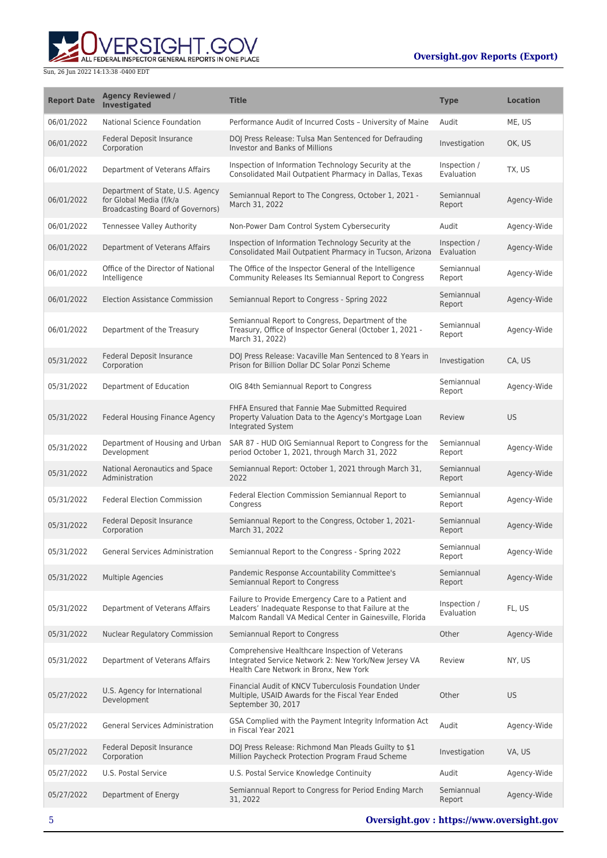ALL FEDERAL INSPECTOR GENERAL REPORTS IN ONE PLACE

| <b>Report Date</b> | <b>Agency Reviewed /</b><br><b>Investigated</b>                                                        | <b>Title</b>                                                                                                                                                          | <b>Type</b>                | <b>Location</b> |
|--------------------|--------------------------------------------------------------------------------------------------------|-----------------------------------------------------------------------------------------------------------------------------------------------------------------------|----------------------------|-----------------|
| 06/01/2022         | National Science Foundation                                                                            | Performance Audit of Incurred Costs - University of Maine                                                                                                             | Audit                      | ME, US          |
| 06/01/2022         | Federal Deposit Insurance<br>Corporation                                                               | DOJ Press Release: Tulsa Man Sentenced for Defrauding<br><b>Investor and Banks of Millions</b>                                                                        | Investigation              | OK, US          |
| 06/01/2022         | Department of Veterans Affairs                                                                         | Inspection of Information Technology Security at the<br>Consolidated Mail Outpatient Pharmacy in Dallas, Texas                                                        | Inspection /<br>Evaluation | TX, US          |
| 06/01/2022         | Department of State, U.S. Agency<br>for Global Media (f/k/a<br><b>Broadcasting Board of Governors)</b> | Semiannual Report to The Congress, October 1, 2021 -<br>March 31, 2022                                                                                                | Semiannual<br>Report       | Agency-Wide     |
| 06/01/2022         | <b>Tennessee Valley Authority</b>                                                                      | Non-Power Dam Control System Cybersecurity                                                                                                                            | Audit                      | Agency-Wide     |
| 06/01/2022         | Department of Veterans Affairs                                                                         | Inspection of Information Technology Security at the<br>Consolidated Mail Outpatient Pharmacy in Tucson, Arizona                                                      | Inspection /<br>Evaluation | Agency-Wide     |
| 06/01/2022         | Office of the Director of National<br>Intelligence                                                     | The Office of the Inspector General of the Intelligence<br>Community Releases Its Semiannual Report to Congress                                                       | Semiannual<br>Report       | Agency-Wide     |
| 06/01/2022         | <b>Election Assistance Commission</b>                                                                  | Semiannual Report to Congress - Spring 2022                                                                                                                           | Semiannual<br>Report       | Agency-Wide     |
| 06/01/2022         | Department of the Treasury                                                                             | Semiannual Report to Congress, Department of the<br>Treasury, Office of Inspector General (October 1, 2021 -<br>March 31, 2022)                                       | Semiannual<br>Report       | Agency-Wide     |
| 05/31/2022         | Federal Deposit Insurance<br>Corporation                                                               | DOJ Press Release: Vacaville Man Sentenced to 8 Years in<br>Prison for Billion Dollar DC Solar Ponzi Scheme                                                           | Investigation              | CA, US          |
| 05/31/2022         | Department of Education                                                                                | OIG 84th Semiannual Report to Congress                                                                                                                                | Semiannual<br>Report       | Agency-Wide     |
| 05/31/2022         | Federal Housing Finance Agency                                                                         | FHFA Ensured that Fannie Mae Submitted Required<br>Property Valuation Data to the Agency's Mortgage Loan<br>Integrated System                                         | Review                     | US              |
| 05/31/2022         | Department of Housing and Urban<br>Development                                                         | SAR 87 - HUD OIG Semiannual Report to Congress for the<br>period October 1, 2021, through March 31, 2022                                                              | Semiannual<br>Report       | Agency-Wide     |
| 05/31/2022         | National Aeronautics and Space<br>Administration                                                       | Semiannual Report: October 1, 2021 through March 31,<br>2022                                                                                                          | Semiannual<br>Report       | Agency-Wide     |
| 05/31/2022         | <b>Federal Election Commission</b>                                                                     | Federal Election Commission Semiannual Report to<br>Congress                                                                                                          | Semiannual<br>Report       | Agency-Wide     |
| 05/31/2022         | Federal Deposit Insurance<br>Corporation                                                               | Semiannual Report to the Congress, October 1, 2021-<br>March 31, 2022                                                                                                 | Semiannual<br>Report       | Agency-Wide     |
| 05/31/2022         | General Services Administration                                                                        | Semiannual Report to the Congress - Spring 2022                                                                                                                       | Semiannual<br>Report       | Agency-Wide     |
| 05/31/2022         | <b>Multiple Agencies</b>                                                                               | Pandemic Response Accountability Committee's<br>Semiannual Report to Congress                                                                                         | Semiannual<br>Report       | Agency-Wide     |
| 05/31/2022         | Department of Veterans Affairs                                                                         | Failure to Provide Emergency Care to a Patient and<br>Leaders' Inadequate Response to that Failure at the<br>Malcom Randall VA Medical Center in Gainesville, Florida | Inspection /<br>Evaluation | FL, US          |
| 05/31/2022         | Nuclear Regulatory Commission                                                                          | Semiannual Report to Congress                                                                                                                                         | Other                      | Agency-Wide     |
| 05/31/2022         | Department of Veterans Affairs                                                                         | Comprehensive Healthcare Inspection of Veterans<br>Integrated Service Network 2: New York/New Jersey VA<br>Health Care Network in Bronx, New York                     | Review                     | NY, US          |
| 05/27/2022         | U.S. Agency for International<br>Development                                                           | Financial Audit of KNCV Tuberculosis Foundation Under<br>Multiple, USAID Awards for the Fiscal Year Ended<br>September 30, 2017                                       | Other                      | <b>US</b>       |
| 05/27/2022         | <b>General Services Administration</b>                                                                 | GSA Complied with the Payment Integrity Information Act<br>in Fiscal Year 2021                                                                                        | Audit                      | Agency-Wide     |
| 05/27/2022         | Federal Deposit Insurance<br>Corporation                                                               | DOJ Press Release: Richmond Man Pleads Guilty to \$1<br>Million Paycheck Protection Program Fraud Scheme                                                              | Investigation              | VA, US          |
| 05/27/2022         | U.S. Postal Service                                                                                    | U.S. Postal Service Knowledge Continuity                                                                                                                              | Audit                      | Agency-Wide     |
| 05/27/2022         | Department of Energy                                                                                   | Semiannual Report to Congress for Period Ending March<br>31, 2022                                                                                                     | Semiannual<br>Report       | Agency-Wide     |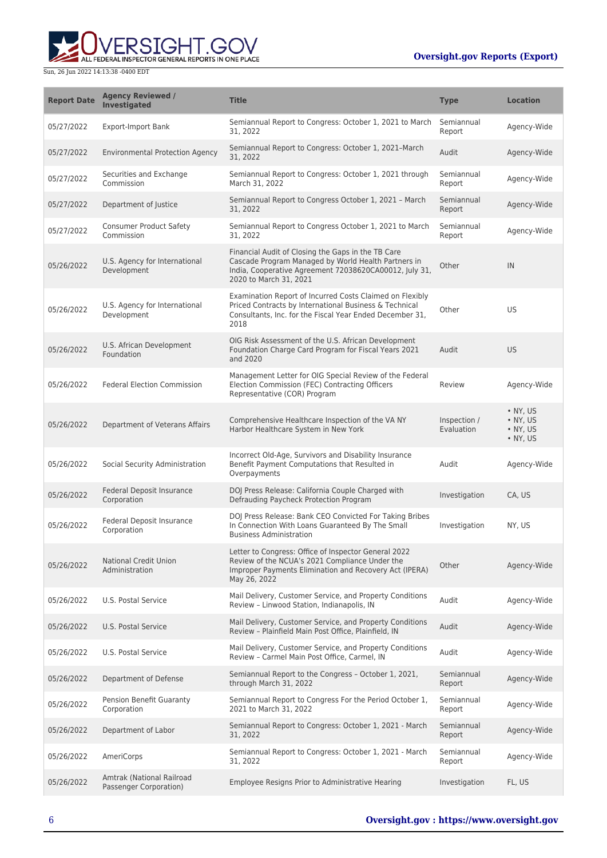

| <b>Report Date</b> | <b>Agency Reviewed /</b><br><b>Investigated</b>     | <b>Title</b>                                                                                                                                                                                  | <b>Type</b>                | <b>Location</b>                                              |
|--------------------|-----------------------------------------------------|-----------------------------------------------------------------------------------------------------------------------------------------------------------------------------------------------|----------------------------|--------------------------------------------------------------|
| 05/27/2022         | <b>Export-Import Bank</b>                           | Semiannual Report to Congress: October 1, 2021 to March<br>31, 2022                                                                                                                           | Semiannual<br>Report       | Agency-Wide                                                  |
| 05/27/2022         | <b>Environmental Protection Agency</b>              | Semiannual Report to Congress: October 1, 2021-March<br>31, 2022                                                                                                                              | Audit                      | Agency-Wide                                                  |
| 05/27/2022         | Securities and Exchange<br>Commission               | Semiannual Report to Congress: October 1, 2021 through<br>March 31, 2022                                                                                                                      | Semiannual<br>Report       | Agency-Wide                                                  |
| 05/27/2022         | Department of Justice                               | Semiannual Report to Congress October 1, 2021 - March<br>31, 2022                                                                                                                             | Semiannual<br>Report       | Agency-Wide                                                  |
| 05/27/2022         | <b>Consumer Product Safety</b><br>Commission        | Semiannual Report to Congress October 1, 2021 to March<br>31, 2022                                                                                                                            | Semiannual<br>Report       | Agency-Wide                                                  |
| 05/26/2022         | U.S. Agency for International<br>Development        | Financial Audit of Closing the Gaps in the TB Care<br>Cascade Program Managed by World Health Partners in<br>India, Cooperative Agreement 72038620CA00012, July 31,<br>2020 to March 31, 2021 | Other                      | IN                                                           |
| 05/26/2022         | U.S. Agency for International<br>Development        | Examination Report of Incurred Costs Claimed on Flexibly<br>Priced Contracts by International Business & Technical<br>Consultants, Inc. for the Fiscal Year Ended December 31,<br>2018        | Other                      | US                                                           |
| 05/26/2022         | U.S. African Development<br>Foundation              | OIG Risk Assessment of the U.S. African Development<br>Foundation Charge Card Program for Fiscal Years 2021<br>and 2020                                                                       | Audit                      | <b>US</b>                                                    |
| 05/26/2022         | <b>Federal Election Commission</b>                  | Management Letter for OIG Special Review of the Federal<br>Election Commission (FEC) Contracting Officers<br>Representative (COR) Program                                                     | Review                     | Agency-Wide                                                  |
| 05/26/2022         | Department of Veterans Affairs                      | Comprehensive Healthcare Inspection of the VA NY<br>Harbor Healthcare System in New York                                                                                                      | Inspection /<br>Evaluation | • NY, US<br>• NY, US<br>$\bullet$ NY, US<br>$\bullet$ NY, US |
| 05/26/2022         | Social Security Administration                      | Incorrect Old-Age, Survivors and Disability Insurance<br>Benefit Payment Computations that Resulted in<br>Overpayments                                                                        | Audit                      | Agency-Wide                                                  |
| 05/26/2022         | Federal Deposit Insurance<br>Corporation            | DOJ Press Release: California Couple Charged with<br>Defrauding Paycheck Protection Program                                                                                                   | Investigation              | CA, US                                                       |
| 05/26/2022         | Federal Deposit Insurance<br>Corporation            | DOJ Press Release: Bank CEO Convicted For Taking Bribes<br>In Connection With Loans Guaranteed By The Small<br><b>Business Administration</b>                                                 | Investigation              | NY, US                                                       |
| 05/26/2022         | <b>National Credit Union</b><br>Administration      | Letter to Congress: Office of Inspector General 2022<br>Review of the NCUA's 2021 Compliance Under the<br>Improper Payments Elimination and Recovery Act (IPERA)<br>May 26, 2022              | Other                      | Agency-Wide                                                  |
| 05/26/2022         | U.S. Postal Service                                 | Mail Delivery, Customer Service, and Property Conditions<br>Review - Linwood Station, Indianapolis, IN                                                                                        | Audit                      | Agency-Wide                                                  |
| 05/26/2022         | U.S. Postal Service                                 | Mail Delivery, Customer Service, and Property Conditions<br>Review - Plainfield Main Post Office, Plainfield, IN                                                                              | Audit                      | Agency-Wide                                                  |
| 05/26/2022         | U.S. Postal Service                                 | Mail Delivery, Customer Service, and Property Conditions<br>Review - Carmel Main Post Office, Carmel, IN                                                                                      | Audit                      | Agency-Wide                                                  |
| 05/26/2022         | Department of Defense                               | Semiannual Report to the Congress - October 1, 2021,<br>through March 31, 2022                                                                                                                | Semiannual<br>Report       | Agency-Wide                                                  |
| 05/26/2022         | <b>Pension Benefit Guaranty</b><br>Corporation      | Semiannual Report to Congress For the Period October 1,<br>2021 to March 31, 2022                                                                                                             | Semiannual<br>Report       | Agency-Wide                                                  |
| 05/26/2022         | Department of Labor                                 | Semiannual Report to Congress: October 1, 2021 - March<br>31, 2022                                                                                                                            | Semiannual<br>Report       | Agency-Wide                                                  |
| 05/26/2022         | <b>AmeriCorps</b>                                   | Semiannual Report to Congress: October 1, 2021 - March<br>31, 2022                                                                                                                            | Semiannual<br>Report       | Agency-Wide                                                  |
| 05/26/2022         | Amtrak (National Railroad<br>Passenger Corporation) | Employee Resigns Prior to Administrative Hearing                                                                                                                                              | Investigation              | FL, US                                                       |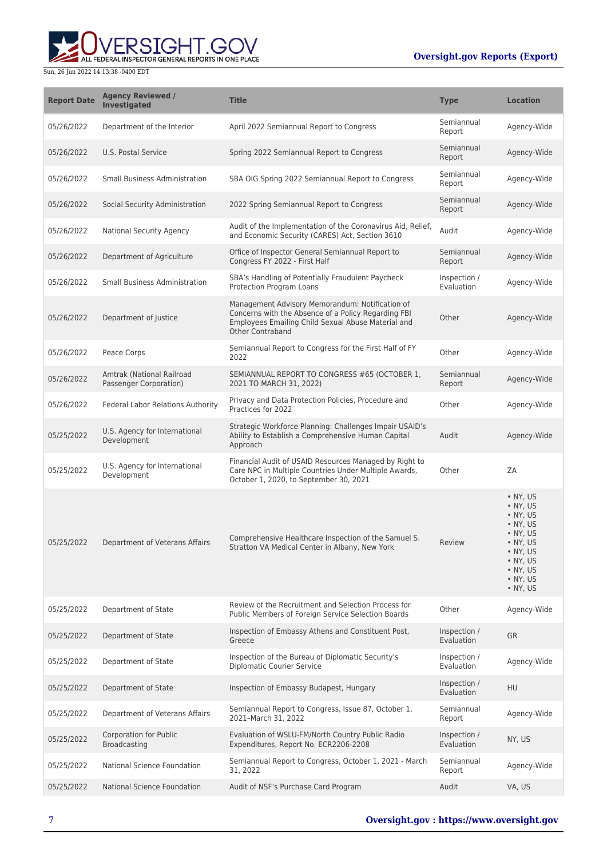# **WERSIGHT.GOV**

### **Oversight.gov Reports (Export)**

| <b>Report Date</b> | <b>Agency Reviewed /</b><br><b>Investigated</b>     | <b>Title</b>                                                                                                                                                                            | <b>Type</b>                | <b>Location</b>                                                                                                                                  |
|--------------------|-----------------------------------------------------|-----------------------------------------------------------------------------------------------------------------------------------------------------------------------------------------|----------------------------|--------------------------------------------------------------------------------------------------------------------------------------------------|
| 05/26/2022         | Department of the Interior                          | April 2022 Semiannual Report to Congress                                                                                                                                                | Semiannual<br>Report       | Agency-Wide                                                                                                                                      |
| 05/26/2022         | U.S. Postal Service                                 | Spring 2022 Semiannual Report to Congress                                                                                                                                               | Semiannual<br>Report       | Agency-Wide                                                                                                                                      |
| 05/26/2022         | <b>Small Business Administration</b>                | SBA OIG Spring 2022 Semiannual Report to Congress                                                                                                                                       | Semiannual<br>Report       | Agency-Wide                                                                                                                                      |
| 05/26/2022         | Social Security Administration                      | 2022 Spring Semiannual Report to Congress                                                                                                                                               | Semiannual<br>Report       | Agency-Wide                                                                                                                                      |
| 05/26/2022         | National Security Agency                            | Audit of the Implementation of the Coronavirus Aid, Relief,<br>and Economic Security (CARES) Act, Section 3610                                                                          | Audit                      | Agency-Wide                                                                                                                                      |
| 05/26/2022         | Department of Agriculture                           | Office of Inspector General Semiannual Report to<br>Congress FY 2022 - First Half                                                                                                       | Semiannual<br>Report       | Agency-Wide                                                                                                                                      |
| 05/26/2022         | <b>Small Business Administration</b>                | SBA's Handling of Potentially Fraudulent Paycheck<br>Protection Program Loans                                                                                                           | Inspection /<br>Evaluation | Agency-Wide                                                                                                                                      |
| 05/26/2022         | Department of Justice                               | Management Advisory Memorandum: Notification of<br>Concerns with the Absence of a Policy Regarding FBI<br>Employees Emailing Child Sexual Abuse Material and<br><b>Other Contraband</b> | Other                      | Agency-Wide                                                                                                                                      |
| 05/26/2022         | Peace Corps                                         | Semiannual Report to Congress for the First Half of FY<br>2022                                                                                                                          | Other                      | Agency-Wide                                                                                                                                      |
| 05/26/2022         | Amtrak (National Railroad<br>Passenger Corporation) | SEMIANNUAL REPORT TO CONGRESS #65 (OCTOBER 1,<br>2021 TO MARCH 31, 2022)                                                                                                                | Semiannual<br>Report       | Agency-Wide                                                                                                                                      |
| 05/26/2022         | Federal Labor Relations Authority                   | Privacy and Data Protection Policies, Procedure and<br>Practices for 2022                                                                                                               | Other                      | Agency-Wide                                                                                                                                      |
| 05/25/2022         | U.S. Agency for International<br>Development        | Strategic Workforce Planning: Challenges Impair USAID's<br>Ability to Establish a Comprehensive Human Capital<br>Approach                                                               | Audit                      | Agency-Wide                                                                                                                                      |
| 05/25/2022         | U.S. Agency for International<br>Development        | Financial Audit of USAID Resources Managed by Right to<br>Care NPC in Multiple Countries Under Multiple Awards,<br>October 1, 2020, to September 30, 2021                               | Other                      | ZA                                                                                                                                               |
| 05/25/2022         | Department of Veterans Affairs                      | Comprehensive Healthcare Inspection of the Samuel S.<br>Stratton VA Medical Center in Albany, New York                                                                                  | Review                     | $\bullet$ NY, US<br>• NY, US<br>• NY, US<br>$\bullet$ NY, US<br>• NY, US<br>• NY, US<br>• NY, US<br>• NY, US<br>• NY, US<br>• NY, US<br>• NY, US |
| 05/25/2022         | Department of State                                 | Review of the Recruitment and Selection Process for<br>Public Members of Foreign Service Selection Boards                                                                               | Other                      | Agency-Wide                                                                                                                                      |
| 05/25/2022         | Department of State                                 | Inspection of Embassy Athens and Constituent Post,<br>Greece                                                                                                                            | Inspection /<br>Evaluation | <b>GR</b>                                                                                                                                        |
| 05/25/2022         | Department of State                                 | Inspection of the Bureau of Diplomatic Security's<br><b>Diplomatic Courier Service</b>                                                                                                  | Inspection /<br>Evaluation | Agency-Wide                                                                                                                                      |
| 05/25/2022         | Department of State                                 | Inspection of Embassy Budapest, Hungary                                                                                                                                                 | Inspection /<br>Evaluation | <b>HU</b>                                                                                                                                        |
| 05/25/2022         | Department of Veterans Affairs                      | Semiannual Report to Congress, Issue 87, October 1,<br>2021-March 31, 2022                                                                                                              | Semiannual<br>Report       | Agency-Wide                                                                                                                                      |
| 05/25/2022         | Corporation for Public<br>Broadcasting              | Evaluation of WSLU-FM/North Country Public Radio<br>Expenditures, Report No. ECR2206-2208                                                                                               | Inspection /<br>Evaluation | NY, US                                                                                                                                           |
| 05/25/2022         | National Science Foundation                         | Semiannual Report to Congress, October 1, 2021 - March<br>31, 2022                                                                                                                      | Semiannual<br>Report       | Agency-Wide                                                                                                                                      |
| 05/25/2022         | National Science Foundation                         | Audit of NSF's Purchase Card Program                                                                                                                                                    | Audit                      | VA, US                                                                                                                                           |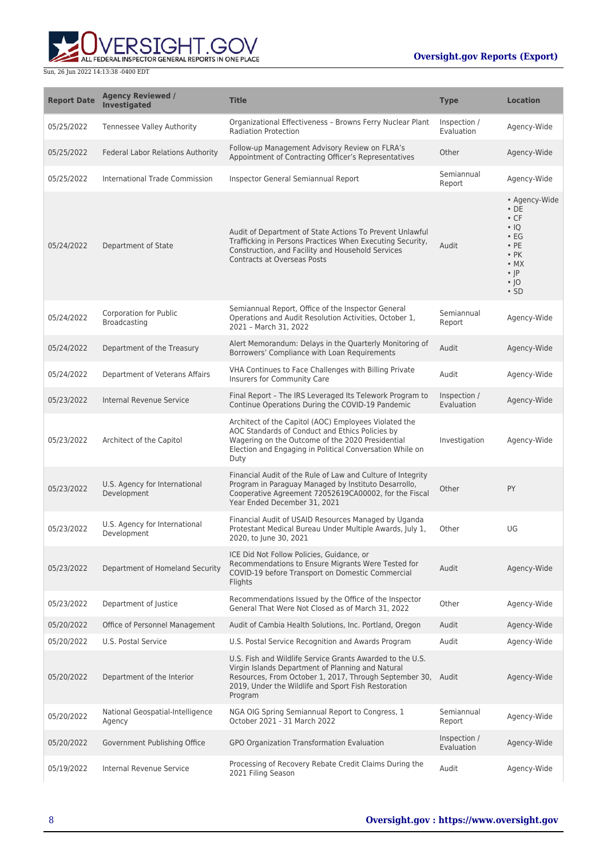

| <b>Report Date</b> | <b>Agency Reviewed /</b><br><b>Investigated</b> | <b>Title</b>                                                                                                                                                                                                                                     | <b>Type</b>                | <b>Location</b>                                                                                                                                             |
|--------------------|-------------------------------------------------|--------------------------------------------------------------------------------------------------------------------------------------------------------------------------------------------------------------------------------------------------|----------------------------|-------------------------------------------------------------------------------------------------------------------------------------------------------------|
| 05/25/2022         | <b>Tennessee Valley Authority</b>               | Organizational Effectiveness - Browns Ferry Nuclear Plant<br><b>Radiation Protection</b>                                                                                                                                                         | Inspection /<br>Evaluation | Agency-Wide                                                                                                                                                 |
| 05/25/2022         | Federal Labor Relations Authority               | Follow-up Management Advisory Review on FLRA's<br>Appointment of Contracting Officer's Representatives                                                                                                                                           | Other                      | Agency-Wide                                                                                                                                                 |
| 05/25/2022         | International Trade Commission                  | Inspector General Semiannual Report                                                                                                                                                                                                              | Semiannual<br>Report       | Agency-Wide                                                                                                                                                 |
| 05/24/2022         | Department of State                             | Audit of Department of State Actions To Prevent Unlawful<br>Trafficking in Persons Practices When Executing Security,<br>Construction, and Facility and Household Services<br><b>Contracts at Overseas Posts</b>                                 | Audit                      | • Agency-Wide<br>$\cdot$ DE<br>$\cdot$ CF<br>$\cdot$ IQ<br>$\cdot$ EG<br>$\cdot$ PE<br>$\cdot$ PK<br>$\bullet$ MX<br>$\cdot$  P<br>$\cdot$  O<br>$\cdot$ SD |
| 05/24/2022         | <b>Corporation for Public</b><br>Broadcasting   | Semiannual Report, Office of the Inspector General<br>Operations and Audit Resolution Activities, October 1,<br>2021 - March 31, 2022                                                                                                            | Semiannual<br>Report       | Agency-Wide                                                                                                                                                 |
| 05/24/2022         | Department of the Treasury                      | Alert Memorandum: Delays in the Quarterly Monitoring of<br>Borrowers' Compliance with Loan Requirements                                                                                                                                          | Audit                      | Agency-Wide                                                                                                                                                 |
| 05/24/2022         | Department of Veterans Affairs                  | VHA Continues to Face Challenges with Billing Private<br>Insurers for Community Care                                                                                                                                                             | Audit                      | Agency-Wide                                                                                                                                                 |
| 05/23/2022         | Internal Revenue Service                        | Final Report - The IRS Leveraged Its Telework Program to<br>Continue Operations During the COVID-19 Pandemic                                                                                                                                     | Inspection /<br>Evaluation | Agency-Wide                                                                                                                                                 |
| 05/23/2022         | Architect of the Capitol                        | Architect of the Capitol (AOC) Employees Violated the<br>AOC Standards of Conduct and Ethics Policies by<br>Wagering on the Outcome of the 2020 Presidential<br>Election and Engaging in Political Conversation While on<br>Duty                 | Investigation              | Agency-Wide                                                                                                                                                 |
| 05/23/2022         | U.S. Agency for International<br>Development    | Financial Audit of the Rule of Law and Culture of Integrity<br>Program in Paraguay Managed by Instituto Desarrollo,<br>Cooperative Agreement 72052619CA00002, for the Fiscal<br>Year Ended December 31, 2021                                     | Other                      | PY                                                                                                                                                          |
| 05/23/2022         | U.S. Agency for International<br>Development    | Financial Audit of USAID Resources Managed by Uganda<br>Protestant Medical Bureau Under Multiple Awards, July 1,<br>2020, to June 30, 2021                                                                                                       | Other                      | UG                                                                                                                                                          |
| 05/23/2022         | Department of Homeland Security                 | ICE Did Not Follow Policies, Guidance, or<br>Recommendations to Ensure Migrants Were Tested for<br>COVID-19 before Transport on Domestic Commercial<br>Flights                                                                                   | Audit                      | Agency-Wide                                                                                                                                                 |
| 05/23/2022         | Department of Justice                           | Recommendations Issued by the Office of the Inspector<br>General That Were Not Closed as of March 31, 2022                                                                                                                                       | Other                      | Agency-Wide                                                                                                                                                 |
| 05/20/2022         | Office of Personnel Management                  | Audit of Cambia Health Solutions, Inc. Portland, Oregon                                                                                                                                                                                          | Audit                      | Agency-Wide                                                                                                                                                 |
| 05/20/2022         | U.S. Postal Service                             | U.S. Postal Service Recognition and Awards Program                                                                                                                                                                                               | Audit                      | Agency-Wide                                                                                                                                                 |
| 05/20/2022         | Department of the Interior                      | U.S. Fish and Wildlife Service Grants Awarded to the U.S.<br>Virgin Islands Department of Planning and Natural<br>Resources, From October 1, 2017, Through September 30, Audit<br>2019, Under the Wildlife and Sport Fish Restoration<br>Program |                            | Agency-Wide                                                                                                                                                 |
| 05/20/2022         | National Geospatial-Intelligence<br>Agency      | NGA OIG Spring Semiannual Report to Congress, 1<br>October 2021 - 31 March 2022                                                                                                                                                                  | Semiannual<br>Report       | Agency-Wide                                                                                                                                                 |
| 05/20/2022         | Government Publishing Office                    | GPO Organization Transformation Evaluation                                                                                                                                                                                                       | Inspection /<br>Evaluation | Agency-Wide                                                                                                                                                 |
| 05/19/2022         | Internal Revenue Service                        | Processing of Recovery Rebate Credit Claims During the<br>2021 Filing Season                                                                                                                                                                     | Audit                      | Agency-Wide                                                                                                                                                 |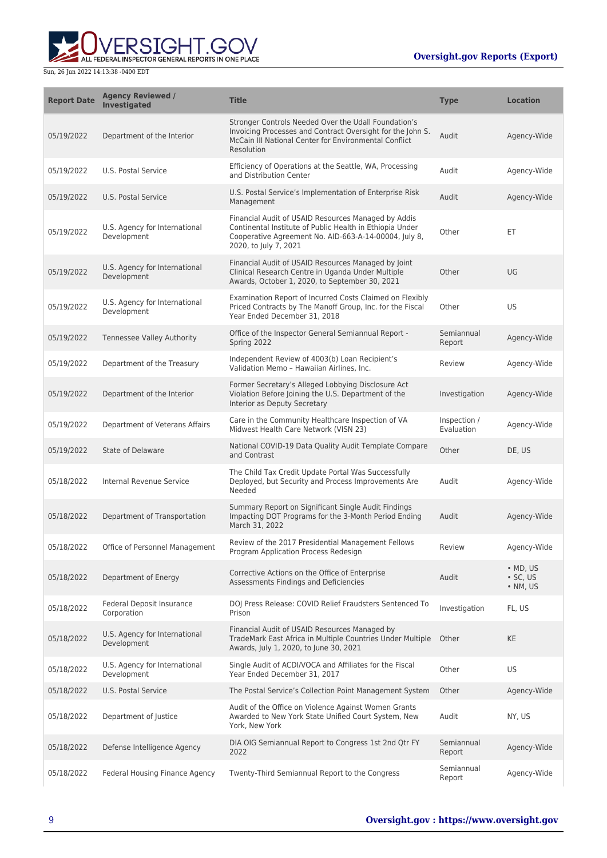

| <b>Report Date</b> | <b>Agency Reviewed /</b><br><b>Investigated</b> | <b>Title</b>                                                                                                                                                                                      | <b>Type</b>                | <b>Location</b>                                |
|--------------------|-------------------------------------------------|---------------------------------------------------------------------------------------------------------------------------------------------------------------------------------------------------|----------------------------|------------------------------------------------|
| 05/19/2022         | Department of the Interior                      | Stronger Controls Needed Over the Udall Foundation's<br>Invoicing Processes and Contract Oversight for the John S.<br>McCain III National Center for Environmental Conflict<br>Resolution         | Audit                      | Agency-Wide                                    |
| 05/19/2022         | U.S. Postal Service                             | Efficiency of Operations at the Seattle, WA, Processing<br>and Distribution Center                                                                                                                | Audit                      | Agency-Wide                                    |
| 05/19/2022         | U.S. Postal Service                             | U.S. Postal Service's Implementation of Enterprise Risk<br>Management                                                                                                                             | Audit                      | Agency-Wide                                    |
| 05/19/2022         | U.S. Agency for International<br>Development    | Financial Audit of USAID Resources Managed by Addis<br>Continental Institute of Public Health in Ethiopia Under<br>Cooperative Agreement No. AID-663-A-14-00004, July 8,<br>2020, to July 7, 2021 | Other                      | ET                                             |
| 05/19/2022         | U.S. Agency for International<br>Development    | Financial Audit of USAID Resources Managed by Joint<br>Clinical Research Centre in Uganda Under Multiple<br>Awards, October 1, 2020, to September 30, 2021                                        | Other                      | UG                                             |
| 05/19/2022         | U.S. Agency for International<br>Development    | Examination Report of Incurred Costs Claimed on Flexibly<br>Priced Contracts by The Manoff Group, Inc. for the Fiscal<br>Year Ended December 31, 2018                                             | Other                      | US                                             |
| 05/19/2022         | Tennessee Valley Authority                      | Office of the Inspector General Semiannual Report -<br>Spring 2022                                                                                                                                | Semiannual<br>Report       | Agency-Wide                                    |
| 05/19/2022         | Department of the Treasury                      | Independent Review of 4003(b) Loan Recipient's<br>Validation Memo - Hawaiian Airlines, Inc.                                                                                                       | Review                     | Agency-Wide                                    |
| 05/19/2022         | Department of the Interior                      | Former Secretary's Alleged Lobbying Disclosure Act<br>Violation Before Joining the U.S. Department of the<br>Interior as Deputy Secretary                                                         | Investigation              | Agency-Wide                                    |
| 05/19/2022         | Department of Veterans Affairs                  | Care in the Community Healthcare Inspection of VA<br>Midwest Health Care Network (VISN 23)                                                                                                        | Inspection /<br>Evaluation | Agency-Wide                                    |
| 05/19/2022         | <b>State of Delaware</b>                        | National COVID-19 Data Quality Audit Template Compare<br>and Contrast                                                                                                                             | Other                      | DE, US                                         |
| 05/18/2022         | Internal Revenue Service                        | The Child Tax Credit Update Portal Was Successfully<br>Deployed, but Security and Process Improvements Are<br>Needed                                                                              | Audit                      | Agency-Wide                                    |
| 05/18/2022         | Department of Transportation                    | Summary Report on Significant Single Audit Findings<br>Impacting DOT Programs for the 3-Month Period Ending<br>March 31, 2022                                                                     | Audit                      | Agency-Wide                                    |
| 05/18/2022         | Office of Personnel Management                  | Review of the 2017 Presidential Management Fellows<br>Program Application Process Redesign                                                                                                        | Review                     | Agency-Wide                                    |
| 05/18/2022         | Department of Energy                            | Corrective Actions on the Office of Enterprise<br>Assessments Findings and Deficiencies                                                                                                           | Audit                      | $\bullet$ MD, US<br>$\cdot$ SC, US<br>• NM, US |
| 05/18/2022         | Federal Deposit Insurance<br>Corporation        | DOJ Press Release: COVID Relief Fraudsters Sentenced To<br>Prison                                                                                                                                 | Investigation              | FL, US                                         |
| 05/18/2022         | U.S. Agency for International<br>Development    | Financial Audit of USAID Resources Managed by<br>TradeMark East Africa in Multiple Countries Under Multiple<br>Awards, July 1, 2020, to June 30, 2021                                             | Other                      | KE                                             |
| 05/18/2022         | U.S. Agency for International<br>Development    | Single Audit of ACDI/VOCA and Affiliates for the Fiscal<br>Year Ended December 31, 2017                                                                                                           | Other                      | US                                             |
| 05/18/2022         | U.S. Postal Service                             | The Postal Service's Collection Point Management System                                                                                                                                           | Other                      | Agency-Wide                                    |
| 05/18/2022         | Department of Justice                           | Audit of the Office on Violence Against Women Grants<br>Awarded to New York State Unified Court System, New<br>York, New York                                                                     | Audit                      | NY, US                                         |
| 05/18/2022         | Defense Intelligence Agency                     | DIA OIG Semiannual Report to Congress 1st 2nd Qtr FY<br>2022                                                                                                                                      | Semiannual<br>Report       | Agency-Wide                                    |
| 05/18/2022         | Federal Housing Finance Agency                  | Twenty-Third Semiannual Report to the Congress                                                                                                                                                    | Semiannual<br>Report       | Agency-Wide                                    |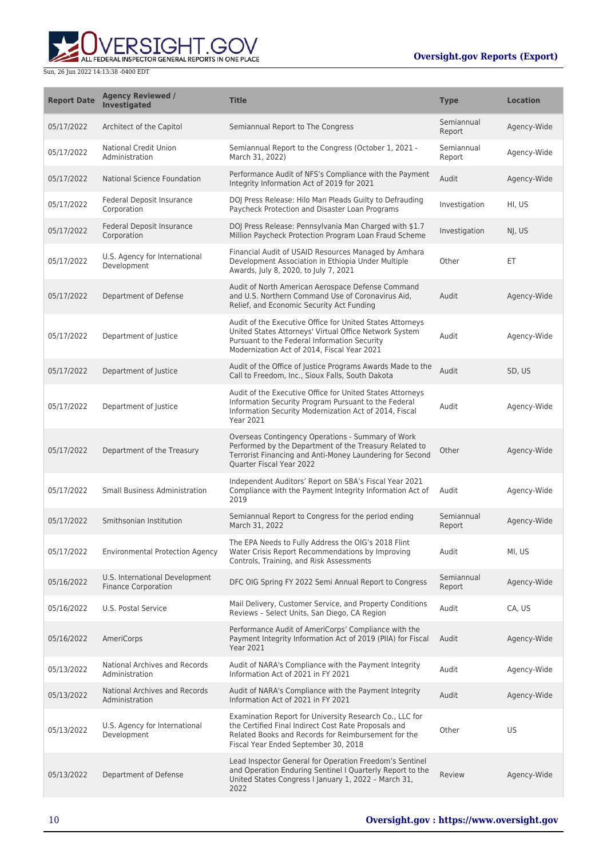

| <b>Report Date</b> | <b>Agency Reviewed /</b><br><b>Investigated</b>              | <b>Title</b>                                                                                                                                                                                                       | <b>Type</b>          | <b>Location</b> |
|--------------------|--------------------------------------------------------------|--------------------------------------------------------------------------------------------------------------------------------------------------------------------------------------------------------------------|----------------------|-----------------|
| 05/17/2022         | Architect of the Capitol                                     | Semiannual Report to The Congress                                                                                                                                                                                  | Semiannual<br>Report | Agency-Wide     |
| 05/17/2022         | <b>National Credit Union</b><br>Administration               | Semiannual Report to the Congress (October 1, 2021 -<br>March 31, 2022)                                                                                                                                            | Semiannual<br>Report | Agency-Wide     |
| 05/17/2022         | National Science Foundation                                  | Performance Audit of NFS's Compliance with the Payment<br>Integrity Information Act of 2019 for 2021                                                                                                               | Audit                | Agency-Wide     |
| 05/17/2022         | Federal Deposit Insurance<br>Corporation                     | DOJ Press Release: Hilo Man Pleads Guilty to Defrauding<br>Paycheck Protection and Disaster Loan Programs                                                                                                          | Investigation        | HI, US          |
| 05/17/2022         | Federal Deposit Insurance<br>Corporation                     | DOJ Press Release: Pennsylvania Man Charged with \$1.7<br>Million Paycheck Protection Program Loan Fraud Scheme                                                                                                    | Investigation        | NJ, US          |
| 05/17/2022         | U.S. Agency for International<br>Development                 | Financial Audit of USAID Resources Managed by Amhara<br>Development Association in Ethiopia Under Multiple<br>Awards, July 8, 2020, to July 7, 2021                                                                | Other                | ET              |
| 05/17/2022         | Department of Defense                                        | Audit of North American Aerospace Defense Command<br>and U.S. Northern Command Use of Coronavirus Aid,<br>Relief, and Economic Security Act Funding                                                                | Audit                | Agency-Wide     |
| 05/17/2022         | Department of Justice                                        | Audit of the Executive Office for United States Attorneys<br>United States Attorneys' Virtual Office Network System<br>Pursuant to the Federal Information Security<br>Modernization Act of 2014, Fiscal Year 2021 | Audit                | Agency-Wide     |
| 05/17/2022         | Department of Justice                                        | Audit of the Office of Justice Programs Awards Made to the<br>Call to Freedom, Inc., Sioux Falls, South Dakota                                                                                                     | Audit                | SD, US          |
| 05/17/2022         | Department of Justice                                        | Audit of the Executive Office for United States Attorneys<br>Information Security Program Pursuant to the Federal<br>Information Security Modernization Act of 2014, Fiscal<br>Year 2021                           | Audit                | Agency-Wide     |
| 05/17/2022         | Department of the Treasury                                   | Overseas Contingency Operations - Summary of Work<br>Performed by the Department of the Treasury Related to<br>Terrorist Financing and Anti-Money Laundering for Second<br>Quarter Fiscal Year 2022                | Other                | Agency-Wide     |
| 05/17/2022         | <b>Small Business Administration</b>                         | Independent Auditors' Report on SBA's Fiscal Year 2021<br>Compliance with the Payment Integrity Information Act of<br>2019                                                                                         | Audit                | Agency-Wide     |
| 05/17/2022         | Smithsonian Institution                                      | Semiannual Report to Congress for the period ending<br>March 31, 2022                                                                                                                                              | Semiannual<br>Report | Agency-Wide     |
| 05/17/2022         | <b>Environmental Protection Agency</b>                       | The EPA Needs to Fully Address the OIG's 2018 Flint<br>Water Crisis Report Recommendations by Improving<br>Controls, Training, and Risk Assessments                                                                | Audit                | MI, US          |
| 05/16/2022         | U.S. International Development<br><b>Finance Corporation</b> | DFC OIG Spring FY 2022 Semi Annual Report to Congress                                                                                                                                                              | Semiannual<br>Report | Agency-Wide     |
| 05/16/2022         | U.S. Postal Service                                          | Mail Delivery, Customer Service, and Property Conditions<br>Reviews - Select Units, San Diego, CA Region                                                                                                           | Audit                | CA, US          |
| 05/16/2022         | AmeriCorps                                                   | Performance Audit of AmeriCorps' Compliance with the<br>Payment Integrity Information Act of 2019 (PIIA) for Fiscal<br><b>Year 2021</b>                                                                            | Audit                | Agency-Wide     |
| 05/13/2022         | National Archives and Records<br>Administration              | Audit of NARA's Compliance with the Payment Integrity<br>Information Act of 2021 in FY 2021                                                                                                                        | Audit                | Agency-Wide     |
| 05/13/2022         | National Archives and Records<br>Administration              | Audit of NARA's Compliance with the Payment Integrity<br>Information Act of 2021 in FY 2021                                                                                                                        | Audit                | Agency-Wide     |
| 05/13/2022         | U.S. Agency for International<br>Development                 | Examination Report for University Research Co., LLC for<br>the Certified Final Indirect Cost Rate Proposals and<br>Related Books and Records for Reimbursement for the<br>Fiscal Year Ended September 30, 2018     | Other                | US              |
| 05/13/2022         | Department of Defense                                        | Lead Inspector General for Operation Freedom's Sentinel<br>and Operation Enduring Sentinel I Quarterly Report to the<br>United States Congress I January 1, 2022 - March 31,<br>2022                               | Review               | Agency-Wide     |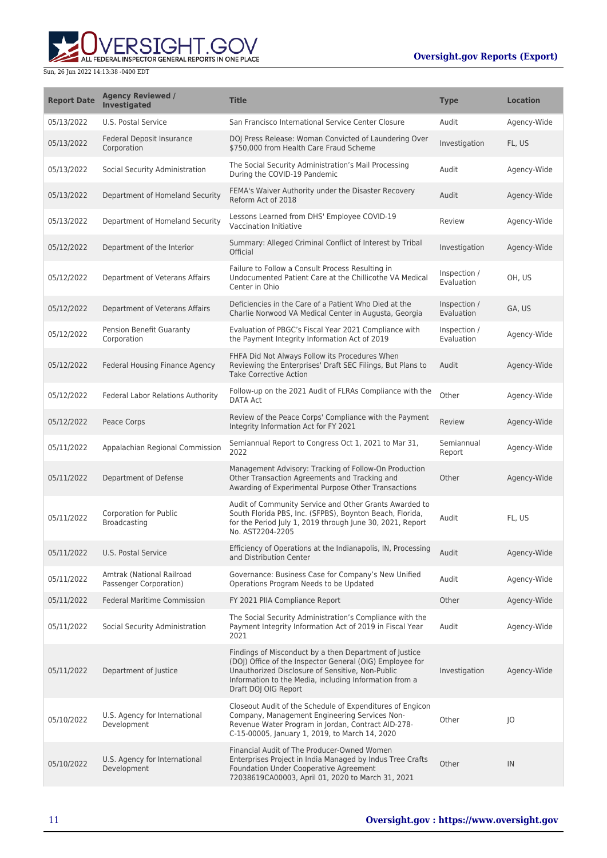ERSIGHT.GOV ALL FEDERAL INSPECTOR GENERAL REPORTS IN ONE PLACE

| <b>Report Date</b> | <b>Agency Reviewed /</b><br><b>Investigated</b>     | <b>Title</b>                                                                                                                                                                                                                                             | <b>Type</b>                | <b>Location</b> |
|--------------------|-----------------------------------------------------|----------------------------------------------------------------------------------------------------------------------------------------------------------------------------------------------------------------------------------------------------------|----------------------------|-----------------|
| 05/13/2022         | U.S. Postal Service                                 | San Francisco International Service Center Closure                                                                                                                                                                                                       | Audit                      | Agency-Wide     |
| 05/13/2022         | Federal Deposit Insurance<br>Corporation            | DOJ Press Release: Woman Convicted of Laundering Over<br>\$750,000 from Health Care Fraud Scheme                                                                                                                                                         | Investigation              | FL, US          |
| 05/13/2022         | Social Security Administration                      | The Social Security Administration's Mail Processing<br>During the COVID-19 Pandemic                                                                                                                                                                     | Audit                      | Agency-Wide     |
| 05/13/2022         | Department of Homeland Security                     | FEMA's Waiver Authority under the Disaster Recovery<br>Reform Act of 2018                                                                                                                                                                                | Audit                      | Agency-Wide     |
| 05/13/2022         | Department of Homeland Security                     | Lessons Learned from DHS' Employee COVID-19<br>Vaccination Initiative                                                                                                                                                                                    | Review                     | Agency-Wide     |
| 05/12/2022         | Department of the Interior                          | Summary: Alleged Criminal Conflict of Interest by Tribal<br>Official                                                                                                                                                                                     | Investigation              | Agency-Wide     |
| 05/12/2022         | Department of Veterans Affairs                      | Failure to Follow a Consult Process Resulting in<br>Undocumented Patient Care at the Chillicothe VA Medical<br>Center in Ohio                                                                                                                            | Inspection /<br>Evaluation | OH, US          |
| 05/12/2022         | Department of Veterans Affairs                      | Deficiencies in the Care of a Patient Who Died at the<br>Charlie Norwood VA Medical Center in Augusta, Georgia                                                                                                                                           | Inspection /<br>Evaluation | GA, US          |
| 05/12/2022         | <b>Pension Benefit Guaranty</b><br>Corporation      | Evaluation of PBGC's Fiscal Year 2021 Compliance with<br>the Payment Integrity Information Act of 2019                                                                                                                                                   | Inspection /<br>Evaluation | Agency-Wide     |
| 05/12/2022         | Federal Housing Finance Agency                      | FHFA Did Not Always Follow its Procedures When<br>Reviewing the Enterprises' Draft SEC Filings, But Plans to<br><b>Take Corrective Action</b>                                                                                                            | Audit                      | Agency-Wide     |
| 05/12/2022         | Federal Labor Relations Authority                   | Follow-up on the 2021 Audit of FLRAs Compliance with the<br>DATA Act                                                                                                                                                                                     | Other                      | Agency-Wide     |
| 05/12/2022         | Peace Corps                                         | Review of the Peace Corps' Compliance with the Payment<br>Integrity Information Act for FY 2021                                                                                                                                                          | Review                     | Agency-Wide     |
| 05/11/2022         | Appalachian Regional Commission                     | Semiannual Report to Congress Oct 1, 2021 to Mar 31,<br>2022                                                                                                                                                                                             | Semiannual<br>Report       | Agency-Wide     |
| 05/11/2022         | Department of Defense                               | Management Advisory: Tracking of Follow-On Production<br>Other Transaction Agreements and Tracking and<br>Awarding of Experimental Purpose Other Transactions                                                                                            | Other                      | Agency-Wide     |
| 05/11/2022         | Corporation for Public<br>Broadcasting              | Audit of Community Service and Other Grants Awarded to<br>South Florida PBS, Inc. (SFPBS), Boynton Beach, Florida,<br>for the Period July 1, 2019 through June 30, 2021, Report<br>No. AST2204-2205                                                      | Audit                      | FL, US          |
| 05/11/2022         | U.S. Postal Service                                 | Efficiency of Operations at the Indianapolis, IN, Processing<br>and Distribution Center                                                                                                                                                                  | Audit                      | Agency-Wide     |
| 05/11/2022         | Amtrak (National Railroad<br>Passenger Corporation) | Governance: Business Case for Company's New Unified<br>Operations Program Needs to be Updated                                                                                                                                                            | Audit                      | Agency-Wide     |
| 05/11/2022         | <b>Federal Maritime Commission</b>                  | FY 2021 PIIA Compliance Report                                                                                                                                                                                                                           | Other                      | Agency-Wide     |
| 05/11/2022         | Social Security Administration                      | The Social Security Administration's Compliance with the<br>Payment Integrity Information Act of 2019 in Fiscal Year<br>2021                                                                                                                             | Audit                      | Agency-Wide     |
| 05/11/2022         | Department of Justice                               | Findings of Misconduct by a then Department of Justice<br>(DOJ) Office of the Inspector General (OIG) Employee for<br>Unauthorized Disclosure of Sensitive, Non-Public<br>Information to the Media, including Information from a<br>Draft DOJ OIG Report | Investigation              | Agency-Wide     |
| 05/10/2022         | U.S. Agency for International<br>Development        | Closeout Audit of the Schedule of Expenditures of Engicon<br>Company, Management Engineering Services Non-<br>Revenue Water Program in Jordan, Contract AID-278-<br>C-15-00005, January 1, 2019, to March 14, 2020                                       | Other                      | O               |
| 05/10/2022         | U.S. Agency for International<br>Development        | Financial Audit of The Producer-Owned Women<br>Enterprises Project in India Managed by Indus Tree Crafts<br>Foundation Under Cooperative Agreement<br>72038619CA00003, April 01, 2020 to March 31, 2021                                                  | Other                      | IN              |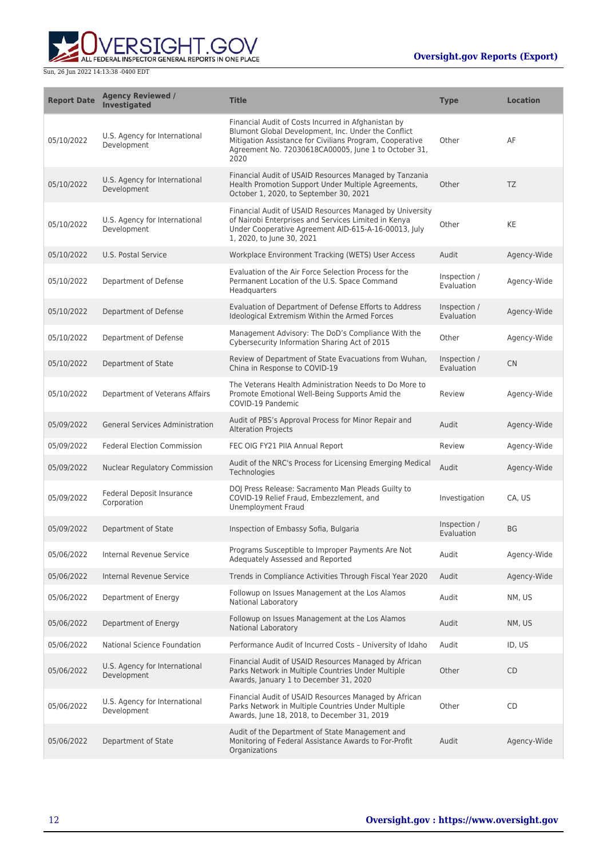

| <b>Report Date</b> | <b>Agency Reviewed /</b><br><b>Investigated</b> | <b>Title</b>                                                                                                                                                                                                                           | <b>Type</b>                | <b>Location</b> |
|--------------------|-------------------------------------------------|----------------------------------------------------------------------------------------------------------------------------------------------------------------------------------------------------------------------------------------|----------------------------|-----------------|
| 05/10/2022         | U.S. Agency for International<br>Development    | Financial Audit of Costs Incurred in Afghanistan by<br>Blumont Global Development, Inc. Under the Conflict<br>Mitigation Assistance for Civilians Program, Cooperative<br>Agreement No. 72030618CA00005, June 1 to October 31,<br>2020 | Other                      | AF              |
| 05/10/2022         | U.S. Agency for International<br>Development    | Financial Audit of USAID Resources Managed by Tanzania<br>Health Promotion Support Under Multiple Agreements,<br>October 1, 2020, to September 30, 2021                                                                                | Other                      | <b>TZ</b>       |
| 05/10/2022         | U.S. Agency for International<br>Development    | Financial Audit of USAID Resources Managed by University<br>of Nairobi Enterprises and Services Limited in Kenya<br>Under Cooperative Agreement AID-615-A-16-00013, July<br>1, 2020, to June 30, 2021                                  | Other                      | KE              |
| 05/10/2022         | U.S. Postal Service                             | Workplace Environment Tracking (WETS) User Access                                                                                                                                                                                      | Audit                      | Agency-Wide     |
| 05/10/2022         | Department of Defense                           | Evaluation of the Air Force Selection Process for the<br>Permanent Location of the U.S. Space Command<br>Headquarters                                                                                                                  | Inspection /<br>Evaluation | Agency-Wide     |
| 05/10/2022         | Department of Defense                           | Evaluation of Department of Defense Efforts to Address<br>Ideological Extremism Within the Armed Forces                                                                                                                                | Inspection /<br>Evaluation | Agency-Wide     |
| 05/10/2022         | Department of Defense                           | Management Advisory: The DoD's Compliance With the<br>Cybersecurity Information Sharing Act of 2015                                                                                                                                    | Other                      | Agency-Wide     |
| 05/10/2022         | Department of State                             | Review of Department of State Evacuations from Wuhan,<br>China in Response to COVID-19                                                                                                                                                 | Inspection /<br>Evaluation | <b>CN</b>       |
| 05/10/2022         | Department of Veterans Affairs                  | The Veterans Health Administration Needs to Do More to<br>Promote Emotional Well-Being Supports Amid the<br>COVID-19 Pandemic                                                                                                          | Review                     | Agency-Wide     |
| 05/09/2022         | <b>General Services Administration</b>          | Audit of PBS's Approval Process for Minor Repair and<br><b>Alteration Projects</b>                                                                                                                                                     | Audit                      | Agency-Wide     |
| 05/09/2022         | <b>Federal Election Commission</b>              | FEC OIG FY21 PIIA Annual Report                                                                                                                                                                                                        | Review                     | Agency-Wide     |
| 05/09/2022         | <b>Nuclear Regulatory Commission</b>            | Audit of the NRC's Process for Licensing Emerging Medical<br>Technologies                                                                                                                                                              | Audit                      | Agency-Wide     |
| 05/09/2022         | Federal Deposit Insurance<br>Corporation        | DOJ Press Release: Sacramento Man Pleads Guilty to<br>COVID-19 Relief Fraud, Embezzlement, and<br><b>Unemployment Fraud</b>                                                                                                            | Investigation              | CA, US          |
| 05/09/2022         | Department of State                             | Inspection of Embassy Sofia, Bulgaria                                                                                                                                                                                                  | Inspection /<br>Evaluation | <b>BG</b>       |
| 05/06/2022         | Internal Revenue Service                        | Programs Susceptible to Improper Payments Are Not<br>Adequately Assessed and Reported                                                                                                                                                  | Audit                      | Agency-Wide     |
| 05/06/2022         | <b>Internal Revenue Service</b>                 | Trends in Compliance Activities Through Fiscal Year 2020                                                                                                                                                                               | Audit                      | Agency-Wide     |
| 05/06/2022         | Department of Energy                            | Followup on Issues Management at the Los Alamos<br>National Laboratory                                                                                                                                                                 | Audit                      | NM, US          |
| 05/06/2022         | Department of Energy                            | Followup on Issues Management at the Los Alamos<br><b>National Laboratory</b>                                                                                                                                                          | Audit                      | NM, US          |
| 05/06/2022         | National Science Foundation                     | Performance Audit of Incurred Costs - University of Idaho                                                                                                                                                                              | Audit                      | ID, US          |
| 05/06/2022         | U.S. Agency for International<br>Development    | Financial Audit of USAID Resources Managed by African<br>Parks Network in Multiple Countries Under Multiple<br>Awards, January 1 to December 31, 2020                                                                                  | Other                      | <b>CD</b>       |
| 05/06/2022         | U.S. Agency for International<br>Development    | Financial Audit of USAID Resources Managed by African<br>Parks Network in Multiple Countries Under Multiple<br>Awards, June 18, 2018, to December 31, 2019                                                                             | Other                      | CD              |
| 05/06/2022         | Department of State                             | Audit of the Department of State Management and<br>Monitoring of Federal Assistance Awards to For-Profit<br>Organizations                                                                                                              | Audit                      | Agency-Wide     |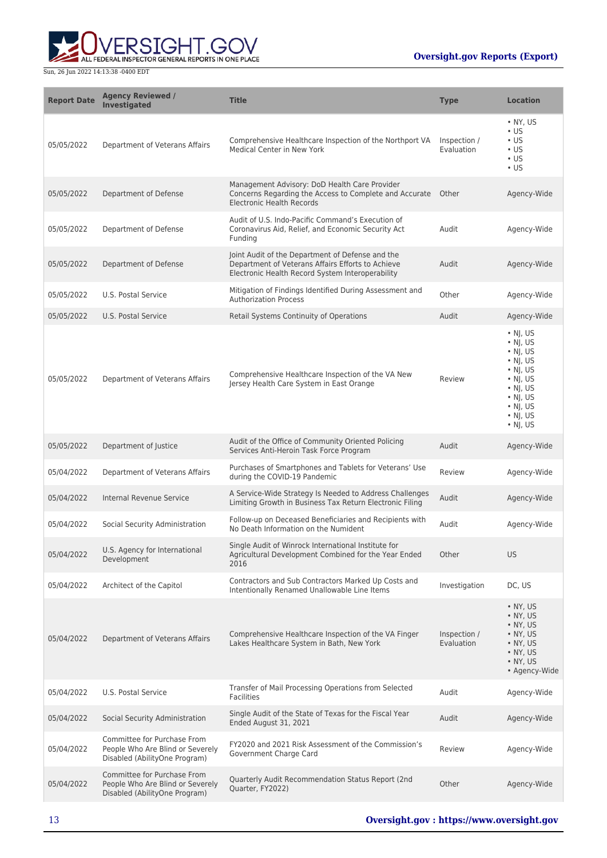



| <b>Report Date</b> | <b>Agency Reviewed /</b><br><b>Investigated</b>                                                  | <b>Title</b>                                                                                                                                              | <b>Type</b>                | <b>Location</b>                                                                                                                                                                                    |
|--------------------|--------------------------------------------------------------------------------------------------|-----------------------------------------------------------------------------------------------------------------------------------------------------------|----------------------------|----------------------------------------------------------------------------------------------------------------------------------------------------------------------------------------------------|
| 05/05/2022         | Department of Veterans Affairs                                                                   | Comprehensive Healthcare Inspection of the Northport VA<br>Medical Center in New York                                                                     | Inspection /<br>Evaluation | $\bullet$ NY, US<br>$\cdot$ US<br>$\cdot$ US<br>$\cdot$ US<br>$\cdot$ US<br>$\cdot$ US                                                                                                             |
| 05/05/2022         | Department of Defense                                                                            | Management Advisory: DoD Health Care Provider<br>Concerns Regarding the Access to Complete and Accurate<br><b>Electronic Health Records</b>               | Other                      | Agency-Wide                                                                                                                                                                                        |
| 05/05/2022         | Department of Defense                                                                            | Audit of U.S. Indo-Pacific Command's Execution of<br>Coronavirus Aid, Relief, and Economic Security Act<br>Funding                                        | Audit                      | Agency-Wide                                                                                                                                                                                        |
| 05/05/2022         | Department of Defense                                                                            | Joint Audit of the Department of Defense and the<br>Department of Veterans Affairs Efforts to Achieve<br>Electronic Health Record System Interoperability | Audit                      | Agency-Wide                                                                                                                                                                                        |
| 05/05/2022         | U.S. Postal Service                                                                              | Mitigation of Findings Identified During Assessment and<br><b>Authorization Process</b>                                                                   | Other                      | Agency-Wide                                                                                                                                                                                        |
| 05/05/2022         | U.S. Postal Service                                                                              | Retail Systems Continuity of Operations                                                                                                                   | Audit                      | Agency-Wide                                                                                                                                                                                        |
| 05/05/2022         | Department of Veterans Affairs                                                                   | Comprehensive Healthcare Inspection of the VA New<br>Jersey Health Care System in East Orange                                                             | Review                     | $\cdot$ NJ, US<br>$\cdot$ NJ, US<br>$\cdot$ NJ, US<br>$\cdot$ NJ, US<br>$\cdot$ NJ, US<br>$\cdot$ NJ, US<br>$\cdot$ NJ, US<br>$\cdot$ NJ, US<br>$\cdot$ NJ, US<br>$\cdot$ NJ, US<br>$\cdot$ NJ, US |
| 05/05/2022         | Department of Justice                                                                            | Audit of the Office of Community Oriented Policing<br>Services Anti-Heroin Task Force Program                                                             | Audit                      | Agency-Wide                                                                                                                                                                                        |
| 05/04/2022         | Department of Veterans Affairs                                                                   | Purchases of Smartphones and Tablets for Veterans' Use<br>during the COVID-19 Pandemic                                                                    | Review                     | Agency-Wide                                                                                                                                                                                        |
| 05/04/2022         | Internal Revenue Service                                                                         | A Service-Wide Strategy Is Needed to Address Challenges<br>Limiting Growth in Business Tax Return Electronic Filing                                       | Audit                      | Agency-Wide                                                                                                                                                                                        |
| 05/04/2022         | Social Security Administration                                                                   | Follow-up on Deceased Beneficiaries and Recipients with<br>No Death Information on the Numident                                                           | Audit                      | Agency-Wide                                                                                                                                                                                        |
| 05/04/2022         | U.S. Agency for International<br>Development                                                     | Single Audit of Winrock International Institute for<br>Agricultural Development Combined for the Year Ended<br>2016                                       | Other                      | <b>US</b>                                                                                                                                                                                          |
| 05/04/2022         | Architect of the Capitol                                                                         | Contractors and Sub Contractors Marked Up Costs and<br>Intentionally Renamed Unallowable Line Items                                                       | Investigation              | DC, US                                                                                                                                                                                             |
| 05/04/2022         | Department of Veterans Affairs                                                                   | Comprehensive Healthcare Inspection of the VA Finger<br>Lakes Healthcare System in Bath, New York                                                         | Inspection /<br>Evaluation | $\bullet$ NY, US<br>• NY, US<br>• NY, US<br>• NY, US<br>$\bullet$ NY, US<br>• NY, US<br>• NY, US<br>• Agency-Wide                                                                                  |
| 05/04/2022         | U.S. Postal Service                                                                              | Transfer of Mail Processing Operations from Selected<br><b>Facilities</b>                                                                                 | Audit                      | Agency-Wide                                                                                                                                                                                        |
| 05/04/2022         | Social Security Administration                                                                   | Single Audit of the State of Texas for the Fiscal Year<br>Ended August 31, 2021                                                                           | Audit                      | Agency-Wide                                                                                                                                                                                        |
| 05/04/2022         | Committee for Purchase From<br>People Who Are Blind or Severely<br>Disabled (AbilityOne Program) | FY2020 and 2021 Risk Assessment of the Commission's<br>Government Charge Card                                                                             | Review                     | Agency-Wide                                                                                                                                                                                        |
| 05/04/2022         | Committee for Purchase From<br>People Who Are Blind or Severely<br>Disabled (AbilityOne Program) | Quarterly Audit Recommendation Status Report (2nd<br>Quarter, FY2022)                                                                                     | Other                      | Agency-Wide                                                                                                                                                                                        |